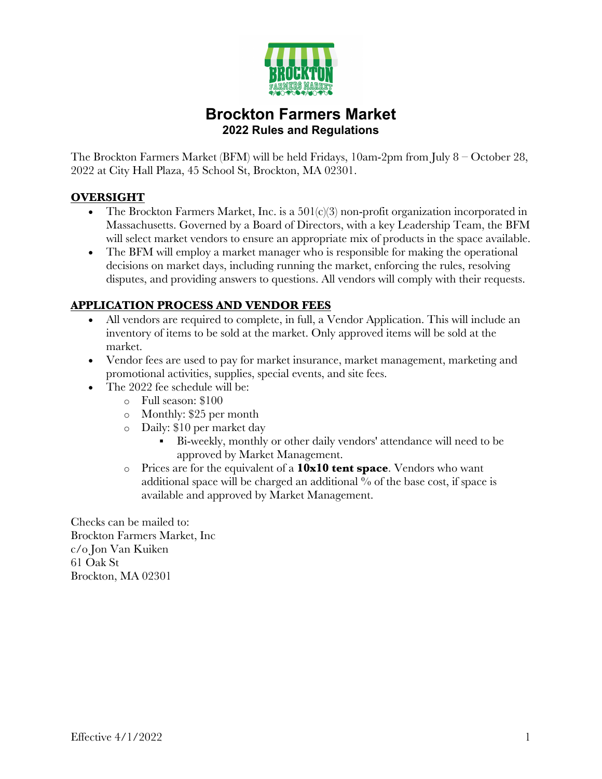

# **Brockton Farmers Market 2022 Rules and Regulations**

The Brockton Farmers Market (BFM) will be held Fridays, 10am-2pm from July 8 – October 28, 2022 at City Hall Plaza, 45 School St, Brockton, MA 02301.

# **OVERSIGHT**

- The Brockton Farmers Market, Inc. is a  $501(c)(3)$  non-profit organization incorporated in Massachusetts. Governed by a Board of Directors, with a key Leadership Team, the BFM will select market vendors to ensure an appropriate mix of products in the space available.
- The BFM will employ a market manager who is responsible for making the operational decisions on market days, including running the market, enforcing the rules, resolving disputes, and providing answers to questions. All vendors will comply with their requests.

# **APPLICATION PROCESS AND VENDOR FEES**

- All vendors are required to complete, in full, a Vendor Application. This will include an inventory of items to be sold at the market. Only approved items will be sold at the market.
- Vendor fees are used to pay for market insurance, market management, marketing and promotional activities, supplies, special events, and site fees.
- The 2022 fee schedule will be:
	- o Full season: \$100
	- o Monthly: \$25 per month
	- o Daily: \$10 per market day
		- § Bi-weekly, monthly or other daily vendors' attendance will need to be approved by Market Management.
	- o Prices are for the equivalent of a **10x10 tent space**. Vendors who want additional space will be charged an additional % of the base cost, if space is available and approved by Market Management.

Checks can be mailed to: Brockton Farmers Market, Inc c/o Jon Van Kuiken 61 Oak St Brockton, MA 02301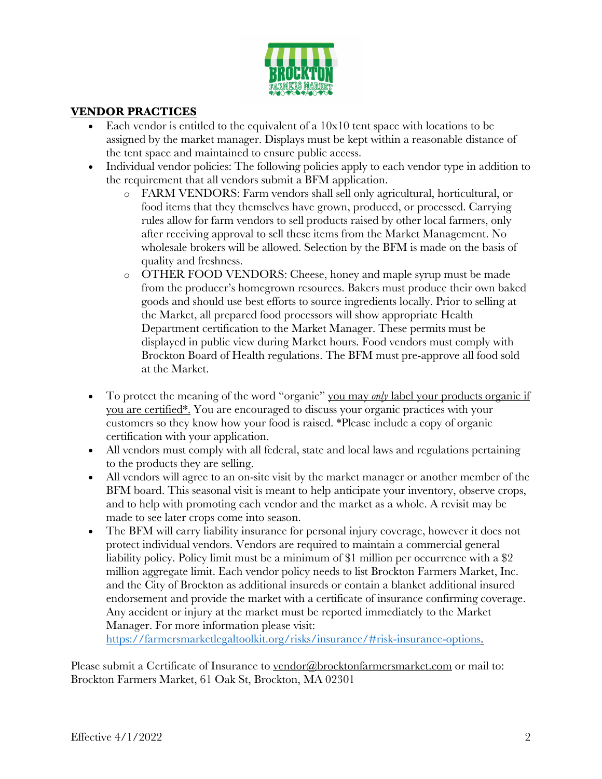

#### **VENDOR PRACTICES**

- Each vendor is entitled to the equivalent of a  $10x10$  tent space with locations to be assigned by the market manager. Displays must be kept within a reasonable distance of the tent space and maintained to ensure public access.
- Individual vendor policies: The following policies apply to each vendor type in addition to the requirement that all vendors submit a BFM application.
	- o FARM VENDORS: Farm vendors shall sell only agricultural, horticultural, or food items that they themselves have grown, produced, or processed. Carrying rules allow for farm vendors to sell products raised by other local farmers, only after receiving approval to sell these items from the Market Management. No wholesale brokers will be allowed. Selection by the BFM is made on the basis of quality and freshness.
	- o OTHER FOOD VENDORS: Cheese, honey and maple syrup must be made from the producer's homegrown resources. Bakers must produce their own baked goods and should use best efforts to source ingredients locally. Prior to selling at the Market, all prepared food processors will show appropriate Health Department certification to the Market Manager. These permits must be displayed in public view during Market hours. Food vendors must comply with Brockton Board of Health regulations. The BFM must pre-approve all food sold at the Market.
- To protect the meaning of the word "organic" you may *only* label your products organic if you are certified\*. You are encouraged to discuss your organic practices with your customers so they know how your food is raised. \*Please include a copy of organic certification with your application.
- All vendors must comply with all federal, state and local laws and regulations pertaining to the products they are selling.
- All vendors will agree to an on-site visit by the market manager or another member of the BFM board. This seasonal visit is meant to help anticipate your inventory, observe crops, and to help with promoting each vendor and the market as a whole. A revisit may be made to see later crops come into season.
- The BFM will carry liability insurance for personal injury coverage, however it does not protect individual vendors. Vendors are required to maintain a commercial general liability policy. Policy limit must be a minimum of \$1 million per occurrence with a \$2 million aggregate limit. Each vendor policy needs to list Brockton Farmers Market, Inc. and the City of Brockton as additional insureds or contain a blanket additional insured endorsement and provide the market with a certificate of insurance confirming coverage. Any accident or injury at the market must be reported immediately to the Market Manager. For more information please visit:

https://farmersmarketlegaltoolkit.org/risks/insurance/#risk-insurance-options.

Please submit a Certificate of Insurance to vendor@brocktonfarmersmarket.com or mail to: Brockton Farmers Market, 61 Oak St, Brockton, MA 02301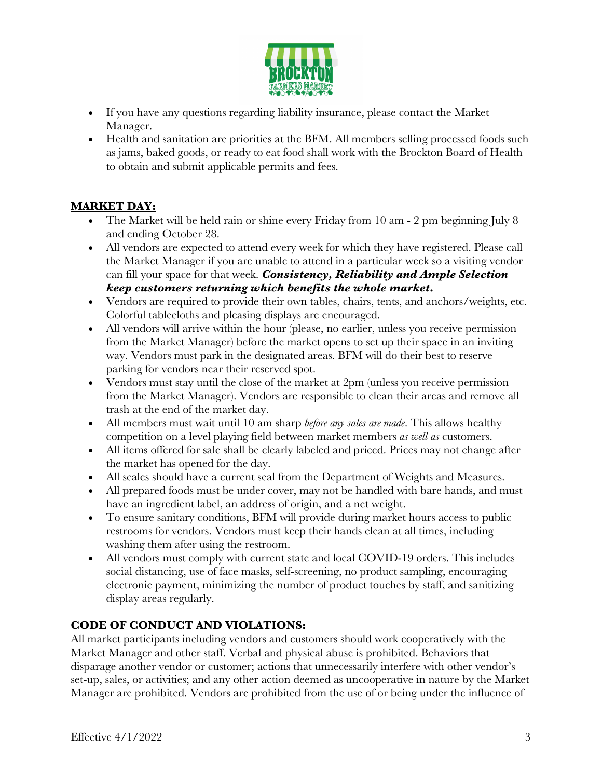

- If you have any questions regarding liability insurance, please contact the Market Manager.
- Health and sanitation are priorities at the BFM. All members selling processed foods such as jams, baked goods, or ready to eat food shall work with the Brockton Board of Health to obtain and submit applicable permits and fees.

# **MARKET DAY:**

- The Market will be held rain or shine every Friday from 10 am 2 pm beginning July 8 and ending October 28.
- All vendors are expected to attend every week for which they have registered. Please call the Market Manager if you are unable to attend in a particular week so a visiting vendor can fill your space for that week. *Consistency, Reliability and Ample Selection keep customers returning which benefits the whole market***.**
- Vendors are required to provide their own tables, chairs, tents, and anchors/weights, etc. Colorful tablecloths and pleasing displays are encouraged.
- All vendors will arrive within the hour (please, no earlier, unless you receive permission from the Market Manager) before the market opens to set up their space in an inviting way. Vendors must park in the designated areas. BFM will do their best to reserve parking for vendors near their reserved spot.
- Vendors must stay until the close of the market at 2pm (unless you receive permission from the Market Manager). Vendors are responsible to clean their areas and remove all trash at the end of the market day.
- All members must wait until 10 am sharp *before any sales are made*. This allows healthy competition on a level playing field between market members *as well as* customers.
- All items offered for sale shall be clearly labeled and priced. Prices may not change after the market has opened for the day.
- All scales should have a current seal from the Department of Weights and Measures.
- All prepared foods must be under cover, may not be handled with bare hands, and must have an ingredient label, an address of origin, and a net weight.
- To ensure sanitary conditions, BFM will provide during market hours access to public restrooms for vendors. Vendors must keep their hands clean at all times, including washing them after using the restroom.
- All vendors must comply with current state and local COVID-19 orders. This includes social distancing, use of face masks, self-screening, no product sampling, encouraging electronic payment, minimizing the number of product touches by staff, and sanitizing display areas regularly.

# **CODE OF CONDUCT AND VIOLATIONS:**

All market participants including vendors and customers should work cooperatively with the Market Manager and other staff. Verbal and physical abuse is prohibited. Behaviors that disparage another vendor or customer; actions that unnecessarily interfere with other vendor's set-up, sales, or activities; and any other action deemed as uncooperative in nature by the Market Manager are prohibited. Vendors are prohibited from the use of or being under the influence of